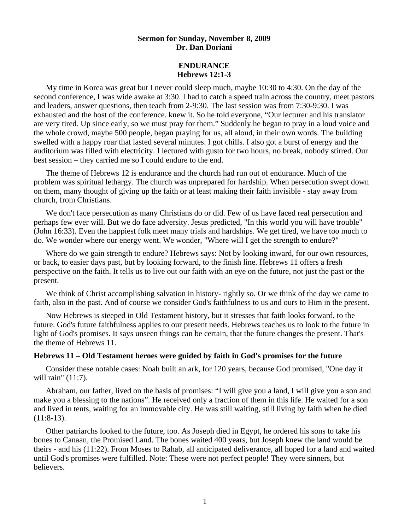# **Sermon for Sunday, November 8, 2009 Dr. Dan Doriani**

## **ENDURANCE Hebrews 12:1-3**

My time in Korea was great but I never could sleep much, maybe 10:30 to 4:30. On the day of the second conference, I was wide awake at 3:30. I had to catch a speed train across the country, meet pastors and leaders, answer questions, then teach from 2-9:30. The last session was from 7:30-9:30. I was exhausted and the host of the conference. knew it. So he told everyone, "Our lecturer and his translator are very tired. Up since early, so we must pray for them." Suddenly he began to pray in a loud voice and the whole crowd, maybe 500 people, began praying for us, all aloud, in their own words. The building swelled with a happy roar that lasted several minutes. I got chills. I also got a burst of energy and the auditorium was filled with electricity. I lectured with gusto for two hours, no break, nobody stirred. Our best session – they carried me so I could endure to the end.

 The theme of Hebrews 12 is endurance and the church had run out of endurance. Much of the problem was spiritual lethargy. The church was unprepared for hardship. When persecution swept down on them, many thought of giving up the faith or at least making their faith invisible - stay away from church, from Christians.

 We don't face persecution as many Christians do or did. Few of us have faced real persecution and perhaps few ever will. But we do face adversity. Jesus predicted, "In this world you will have trouble" (John 16:33). Even the happiest folk meet many trials and hardships. We get tired, we have too much to do. We wonder where our energy went. We wonder, "Where will I get the strength to endure?"

 Where do we gain strength to endure? Hebrews says: Not by looking inward, for our own resources, or back, to easier days past, but by looking forward, to the finish line. Hebrews 11 offers a fresh perspective on the faith. It tells us to live out our faith with an eye on the future, not just the past or the present.

We think of Christ accomplishing salvation in history- rightly so. Or we think of the day we came to faith, also in the past. And of course we consider God's faithfulness to us and ours to Him in the present.

 Now Hebrews is steeped in Old Testament history, but it stresses that faith looks forward, to the future. God's future faithfulness applies to our present needs. Hebrews teaches us to look to the future in light of God's promises. It says unseen things can be certain, that the future changes the present. That's the theme of Hebrews 11.

#### **Hebrews 11 – Old Testament heroes were guided by faith in God's promises for the future**

 Consider these notable cases: Noah built an ark, for 120 years, because God promised, "One day it will rain" (11:7).

 Abraham, our father, lived on the basis of promises: "I will give you a land, I will give you a son and make you a blessing to the nations". He received only a fraction of them in this life. He waited for a son and lived in tents, waiting for an immovable city. He was still waiting, still living by faith when he died  $(11:8-13)$ .

 Other patriarchs looked to the future, too. As Joseph died in Egypt, he ordered his sons to take his bones to Canaan, the Promised Land. The bones waited 400 years, but Joseph knew the land would be theirs - and his (11:22). From Moses to Rahab, all anticipated deliverance, all hoped for a land and waited until God's promises were fulfilled. Note: These were not perfect people! They were sinners, but believers.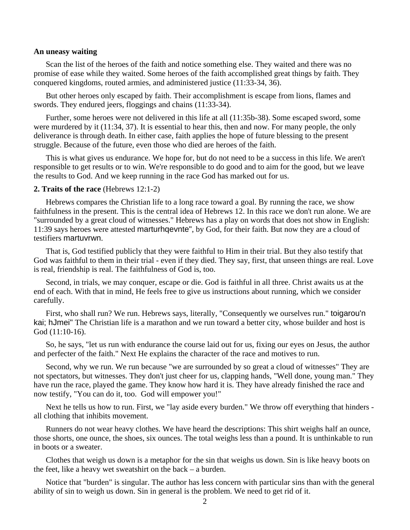### **An uneasy waiting**

Scan the list of the heroes of the faith and notice something else. They waited and there was no promise of ease while they waited. Some heroes of the faith accomplished great things by faith. They conquered kingdoms, routed armies, and administered justice (11:33-34, 36).

 But other heroes only escaped by faith. Their accomplishment is escape from lions, flames and swords. They endured jeers, floggings and chains (11:33-34).

 Further, some heroes were not delivered in this life at all (11:35b-38). Some escaped sword, some were murdered by it (11:34, 37). It is essential to hear this, then and now. For many people, the only deliverance is through death. In either case, faith applies the hope of future blessing to the present struggle. Because of the future, even those who died are heroes of the faith.

 This is what gives us endurance. We hope for, but do not need to be a success in this life. We aren't responsible to get results or to win. We're responsible to do good and to aim for the good, but we leave the results to God. And we keep running in the race God has marked out for us.

## **2. Traits of the race** (Hebrews 12:1-2)

Hebrews compares the Christian life to a long race toward a goal. By running the race, we show faithfulness in the present. This is the central idea of Hebrews 12. In this race we don't run alone. We are "surrounded by a great cloud of witnesses." Hebrews has a play on words that does not show in English: 11:39 says heroes were attested marturhqevnte", by God, for their faith. But now they are a cloud of testifiers martuvrwn.

 That is, God testified publicly that they were faithful to Him in their trial. But they also testify that God was faithful to them in their trial - even if they died. They say, first, that unseen things are real. Love is real, friendship is real. The faithfulness of God is, too.

 Second, in trials, we may conquer, escape or die. God is faithful in all three. Christ awaits us at the end of each. With that in mind, He feels free to give us instructions about running, which we consider carefully.

First, who shall run? We run. Hebrews says, literally, "Consequently we ourselves run." toigarou'n kai; hJmei" The Christian life is a marathon and we run toward a better city, whose builder and host is God (11:10-16).

 So, he says, "let us run with endurance the course laid out for us, fixing our eyes on Jesus, the author and perfecter of the faith." Next He explains the character of the race and motives to run.

Second, why we run. We run because "we are surrounded by so great a cloud of witnesses" They are not spectators, but witnesses. They don't just cheer for us, clapping hands, "Well done, young man." They have run the race, played the game. They know how hard it is. They have already finished the race and now testify, "You can do it, too. God will empower you!"

Next he tells us how to run. First, we "lay aside every burden." We throw off everything that hinders all clothing that inhibits movement.

 Runners do not wear heavy clothes. We have heard the descriptions: This shirt weighs half an ounce, those shorts, one ounce, the shoes, six ounces. The total weighs less than a pound. It is unthinkable to run in boots or a sweater.

 Clothes that weigh us down is a metaphor for the sin that weighs us down. Sin is like heavy boots on the feet, like a heavy wet sweatshirt on the back – a burden.

 Notice that "burden" is singular. The author has less concern with particular sins than with the general ability of sin to weigh us down. Sin in general is the problem. We need to get rid of it.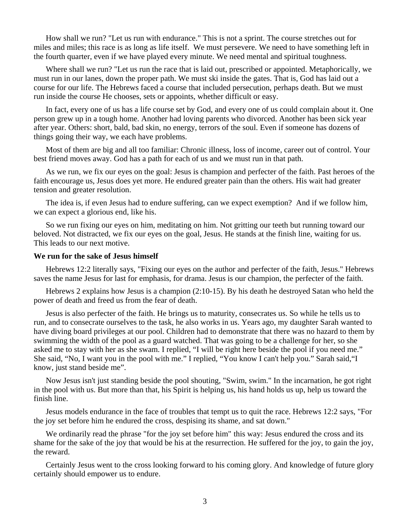How shall we run? "Let us run with endurance." This is not a sprint. The course stretches out for miles and miles; this race is as long as life itself. We must persevere. We need to have something left in the fourth quarter, even if we have played every minute. We need mental and spiritual toughness.

 Where shall we run? "Let us run the race that is laid out, prescribed or appointed. Metaphorically, we must run in our lanes, down the proper path. We must ski inside the gates. That is, God has laid out a course for our life. The Hebrews faced a course that included persecution, perhaps death. But we must run inside the course He chooses, sets or appoints, whether difficult or easy.

 In fact, every one of us has a life course set by God, and every one of us could complain about it. One person grew up in a tough home. Another had loving parents who divorced. Another has been sick year after year. Others: short, bald, bad skin, no energy, terrors of the soul. Even if someone has dozens of things going their way, we each have problems.

 Most of them are big and all too familiar: Chronic illness, loss of income, career out of control. Your best friend moves away. God has a path for each of us and we must run in that path.

 As we run, we fix our eyes on the goal: Jesus is champion and perfecter of the faith. Past heroes of the faith encourage us, Jesus does yet more. He endured greater pain than the others. His wait had greater tension and greater resolution.

 The idea is, if even Jesus had to endure suffering, can we expect exemption? And if we follow him, we can expect a glorious end, like his.

 So we run fixing our eyes on him, meditating on him. Not gritting our teeth but running toward our beloved. Not distracted, we fix our eyes on the goal, Jesus. He stands at the finish line, waiting for us. This leads to our next motive.

#### **We run for the sake of Jesus himself**

 Hebrews 12:2 literally says, "Fixing our eyes on the author and perfecter of the faith, Jesus." Hebrews saves the name Jesus for last for emphasis, for drama. Jesus is our champion, the perfecter of the faith.

 Hebrews 2 explains how Jesus is a champion (2:10-15). By his death he destroyed Satan who held the power of death and freed us from the fear of death.

 Jesus is also perfecter of the faith. He brings us to maturity, consecrates us. So while he tells us to run, and to consecrate ourselves to the task, he also works in us. Years ago, my daughter Sarah wanted to have diving board privileges at our pool. Children had to demonstrate that there was no hazard to them by swimming the width of the pool as a guard watched. That was going to be a challenge for her, so she asked me to stay with her as she swam. I replied, "I will be right here beside the pool if you need me." She said, "No, I want you in the pool with me." I replied, "You know I can't help you." Sarah said,"I know, just stand beside me".

 Now Jesus isn't just standing beside the pool shouting, "Swim, swim." In the incarnation, he got right in the pool with us. But more than that, his Spirit is helping us, his hand holds us up, help us toward the finish line.

 Jesus models endurance in the face of troubles that tempt us to quit the race. Hebrews 12:2 says, "For the joy set before him he endured the cross, despising its shame, and sat down."

 We ordinarily read the phrase "for the joy set before him" this way: Jesus endured the cross and its shame for the sake of the joy that would be his at the resurrection. He suffered for the joy, to gain the joy, the reward.

 Certainly Jesus went to the cross looking forward to his coming glory. And knowledge of future glory certainly should empower us to endure.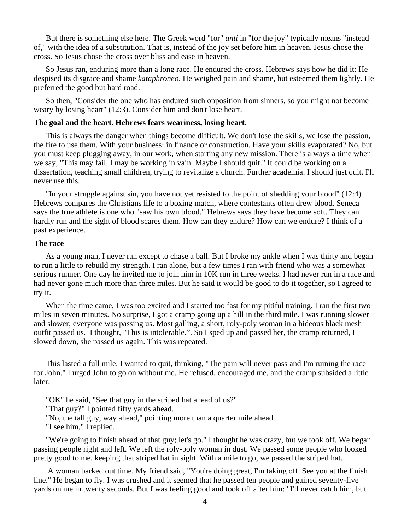But there is something else here. The Greek word "for" *anti* in "for the joy" typically means "instead of," with the idea of a substitution. That is, instead of the joy set before him in heaven, Jesus chose the cross. So Jesus chose the cross over bliss and ease in heaven.

 So Jesus ran, enduring more than a long race. He endured the cross. Hebrews says how he did it: He despised its disgrace and shame *kataphroneo*. He weighed pain and shame, but esteemed them lightly. He preferred the good but hard road.

 So then, "Consider the one who has endured such opposition from sinners, so you might not become weary by losing heart" (12:3). Consider him and don't lose heart.

## **The goal and the heart. Hebrews fears weariness, losing heart**.

 This is always the danger when things become difficult. We don't lose the skills, we lose the passion, the fire to use them. With your business: in finance or construction. Have your skills evaporated? No, but you must keep plugging away, in our work, when starting any new mission. There is always a time when we say, "This may fail. I may be working in vain. Maybe I should quit." It could be working on a dissertation, teaching small children, trying to revitalize a church. Further academia. I should just quit. I'll never use this.

 "In your struggle against sin, you have not yet resisted to the point of shedding your blood" (12:4) Hebrews compares the Christians life to a boxing match, where contestants often drew blood. Seneca says the true athlete is one who "saw his own blood." Hebrews says they have become soft. They can hardly run and the sight of blood scares them. How can they endure? How can we endure? I think of a past experience.

#### **The race**

 As a young man, I never ran except to chase a ball. But I broke my ankle when I was thirty and began to run a little to rebuild my strength. I ran alone, but a few times I ran with friend who was a somewhat serious runner. One day he invited me to join him in 10K run in three weeks. I had never run in a race and had never gone much more than three miles. But he said it would be good to do it together, so I agreed to try it.

When the time came, I was too excited and I started too fast for my pitiful training. I ran the first two miles in seven minutes. No surprise, I got a cramp going up a hill in the third mile. I was running slower and slower; everyone was passing us. Most galling, a short, roly-poly woman in a hideous black mesh outfit passed us. I thought, "This is intolerable.". So I sped up and passed her, the cramp returned, I slowed down, she passed us again. This was repeated.

 This lasted a full mile. I wanted to quit, thinking, "The pain will never pass and I'm ruining the race for John." I urged John to go on without me. He refused, encouraged me, and the cramp subsided a little later.

"OK" he said, "See that guy in the striped hat ahead of us?"

"That guy?" I pointed fifty yards ahead.

"No, the tall guy, way ahead," pointing more than a quarter mile ahead.

"I see him," I replied.

 "We're going to finish ahead of that guy; let's go." I thought he was crazy, but we took off. We began passing people right and left. We left the roly-poly woman in dust. We passed some people who looked pretty good to me, keeping that striped hat in sight. With a mile to go, we passed the striped hat.

 A woman barked out time. My friend said, "You're doing great, I'm taking off. See you at the finish line." He began to fly. I was crushed and it seemed that he passed ten people and gained seventy-five yards on me in twenty seconds. But I was feeling good and took off after him: "I'll never catch him, but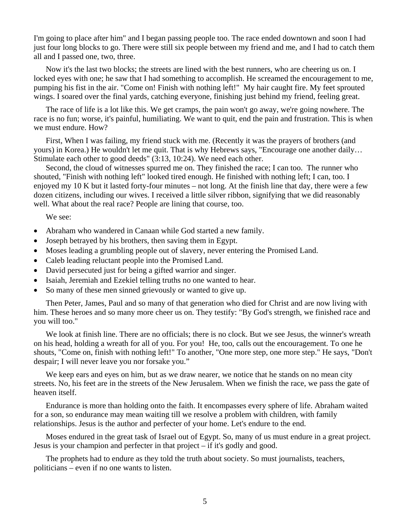I'm going to place after him" and I began passing people too. The race ended downtown and soon I had just four long blocks to go. There were still six people between my friend and me, and I had to catch them all and I passed one, two, three.

 Now it's the last two blocks; the streets are lined with the best runners, who are cheering us on. I locked eyes with one; he saw that I had something to accomplish. He screamed the encouragement to me, pumping his fist in the air. "Come on! Finish with nothing left!" My hair caught fire. My feet sprouted wings. I soared over the final yards, catching everyone, finishing just behind my friend, feeling great.

The race of life is a lot like this. We get cramps, the pain won't go away, we're going nowhere. The race is no fun; worse, it's painful, humiliating. We want to quit, end the pain and frustration. This is when we must endure. How?

 First, When I was failing, my friend stuck with me. (Recently it was the prayers of brothers (and yours) in Korea.) He wouldn't let me quit. That is why Hebrews says, "Encourage one another daily… Stimulate each other to good deeds" (3:13, 10:24). We need each other.

 Second, the cloud of witnesses spurred me on. They finished the race; I can too. The runner who shouted, "Finish with nothing left" looked tired enough. He finished with nothing left; I can, too. I enjoyed my 10 K but it lasted forty-four minutes – not long. At the finish line that day, there were a few dozen citizens, including our wives. I received a little silver ribbon, signifying that we did reasonably well. What about the real race? People are lining that course, too.

We see:

- Abraham who wandered in Canaan while God started a new family.
- Joseph betrayed by his brothers, then saving them in Egypt.
- Moses leading a grumbling people out of slavery, never entering the Promised Land.
- Caleb leading reluctant people into the Promised Land.
- David persecuted just for being a gifted warrior and singer.
- Isaiah, Jeremiah and Ezekiel telling truths no one wanted to hear.
- So many of these men sinned grievously or wanted to give up.

 Then Peter, James, Paul and so many of that generation who died for Christ and are now living with him. These heroes and so many more cheer us on. They testify: "By God's strength, we finished race and you will too."

We look at finish line. There are no officials; there is no clock. But we see Jesus, the winner's wreath on his head, holding a wreath for all of you. For you! He, too, calls out the encouragement. To one he shouts, "Come on, finish with nothing left!" To another, "One more step, one more step." He says, "Don't despair; I will never leave you nor forsake you."

We keep ears and eyes on him, but as we draw nearer, we notice that he stands on no mean city streets. No, his feet are in the streets of the New Jerusalem. When we finish the race, we pass the gate of heaven itself.

Endurance is more than holding onto the faith. It encompasses every sphere of life. Abraham waited for a son, so endurance may mean waiting till we resolve a problem with children, with family relationships. Jesus is the author and perfecter of your home. Let's endure to the end.

 Moses endured in the great task of Israel out of Egypt. So, many of us must endure in a great project. Jesus is your champion and perfecter in that project – if it's godly and good.

 The prophets had to endure as they told the truth about society. So must journalists, teachers, politicians – even if no one wants to listen.